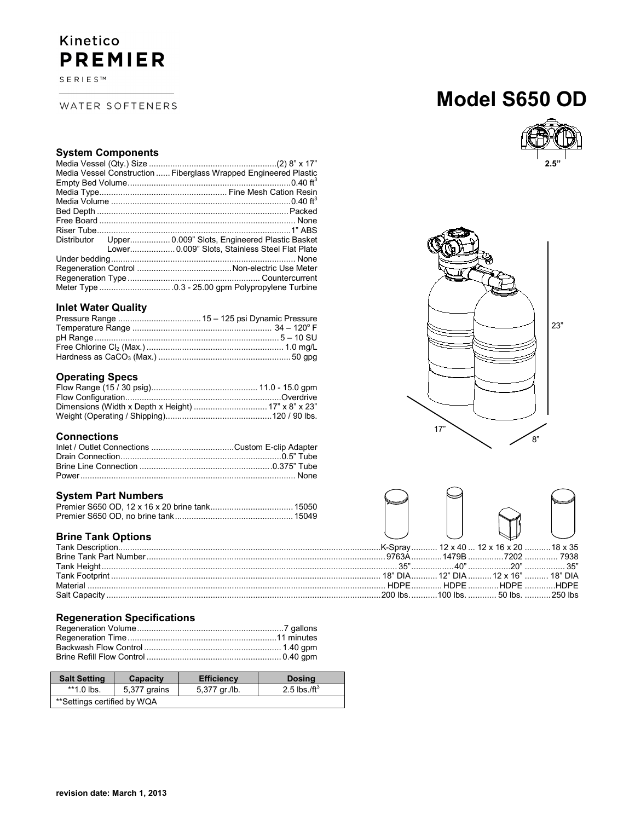### Kinetico **PREMIER**

 $S \to R \mid E \mid S \mid^m$ 

#### WATER SOFTENERS

## **Model S650 OD**



#### **System Components**

| Media Vessel Construction  Fiberglass Wrapped Engineered Plastic |
|------------------------------------------------------------------|
|                                                                  |
|                                                                  |
|                                                                  |
|                                                                  |
|                                                                  |
|                                                                  |
| Distributor Upper 0.009" Slots, Engineered Plastic Basket        |
| Lower 0.009" Slots, Stainless Steel Flat Plate                   |
|                                                                  |
|                                                                  |
|                                                                  |
|                                                                  |

#### **Inlet Water Quality**

#### **Operating Specs**

#### **Connections**

#### **System Part Numbers**

#### **Brine Tank Options**

#### **Regeneration Specifications**

| <b>Salt Setting</b>         | Capacity     | <b>Efficiency</b> | <b>Dosing</b>            |
|-----------------------------|--------------|-------------------|--------------------------|
| $*1.0$ lbs.                 | 5,377 grains | 5,377 gr./lb.     | 2.5 lbs./ft <sup>3</sup> |
| **Settings certified by WQA |              |                   |                          |